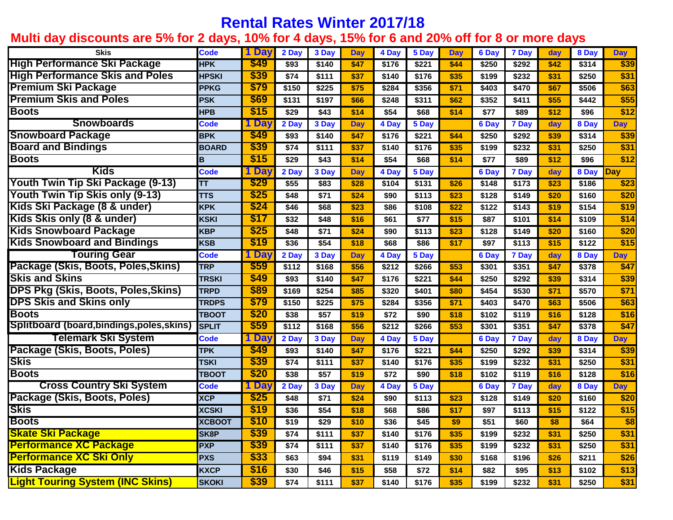## **Rental Rates Winter 2017/18**

## **Multi day discounts are 5% for 2 days, 10% for 4 days, 15% for 6 and 20% off for 8 or more days**

| <b>Skis</b>                              | <b>Code</b>       | 1 Day      | 2 Day            | 3 Day            | <b>Day</b> | 4 Day | 5 Day | <b>Day</b> | 6 Day | 7 Day | day  | 8 Day | <b>Day</b> |
|------------------------------------------|-------------------|------------|------------------|------------------|------------|-------|-------|------------|-------|-------|------|-------|------------|
| <b>High Performance Ski Package</b>      | <b>HPK</b>        | \$49       | \$93             | \$140            | \$47       | \$176 | \$221 | \$44       | \$250 | \$292 | \$42 | \$314 | \$39       |
| <b>High Performance Skis and Poles</b>   | <b>HPSKI</b>      | \$39       | \$74             | \$111            | \$37       | \$140 | \$176 | \$35       | \$199 | \$232 | \$31 | \$250 | \$31       |
| <b>Premium Ski Package</b>               | <b>PPKG</b>       | \$79       | \$150            | \$225            | \$75       | \$284 | \$356 | \$71       | \$403 | \$470 | \$67 | \$506 | \$63       |
| <b>Premium Skis and Poles</b>            | <b>PSK</b>        | \$69       | \$131            | \$197            | \$66       | \$248 | \$311 | \$62       | \$352 | \$411 | \$55 | \$442 | \$55       |
| <b>Boots</b>                             | <b>HPB</b>        | \$15       | \$29             | \$43             | \$14       | \$54  | \$68  | \$14       | \$77  | \$89  | \$12 | \$96  | \$12       |
| <b>Snowboards</b>                        | Code              | 1 Dav      | 2 Day            | 3 Day            | <b>Day</b> | 4 Day | 5 Day |            | 6 Day | 7 Day | day  | 8 Day | <b>Day</b> |
| <b>Snowboard Package</b>                 | <b>BPK</b>        | \$49       | \$93             | \$140            | \$47       | \$176 | \$221 | \$44       | \$250 | \$292 | \$39 | \$314 | \$39       |
| <b>Board and Bindings</b>                | <b>BOARD</b>      | \$39       | \$74             | \$111            | \$37       | \$140 | \$176 | \$35       | \$199 | \$232 | \$31 | \$250 | \$31       |
| <b>Boots</b>                             | B                 | \$15       | \$29             | \$43             | \$14       | \$54  | \$68  | \$14       | \$77  | \$89  | \$12 | \$96  | \$12       |
| <b>Kids</b>                              | Code              | 1 Day      | 2 Day            | 3 Day            | <b>Day</b> | 4 Day | 5 Day |            | 6 Day | 7 Day | day  | 8 Day | Day        |
| <b>Youth Twin Tip Ski Package (9-13)</b> | TΤ                | \$29       | \$55             | \$83             | \$28       | \$104 | \$131 | \$26       | \$148 | \$173 | \$23 | \$186 | \$23       |
| <b>Youth Twin Tip Skis only (9-13)</b>   | <b>TTS</b>        | \$25       | \$48             | $\overline{$}71$ | \$24       | \$90  | \$113 | \$23       | \$128 | \$149 | \$20 | \$160 | \$20       |
| Kids Ski Package (8 & under)             | <b>KPK</b>        | \$24       | \$46             | \$68             | \$23       | \$86  | \$108 | \$22       | \$122 | \$143 | \$19 | \$154 | \$19       |
| Kids Skis only (8 & under)               | <b>KSKI</b>       | \$17       | \$32             | \$48             | \$16       | \$61  | \$77  | \$15       | \$87  | \$101 | \$14 | \$109 | \$14       |
| <b>Kids Snowboard Package</b>            | <b>KBP</b>        | \$25       | \$48             | $\overline{$}71$ | \$24       | \$90  | \$113 | \$23       | \$128 | \$149 | \$20 | \$160 | \$20       |
| <b>Kids Snowboard and Bindings</b>       | <b>KSB</b>        | \$19       | \$36             | $\overline{$54}$ | \$18       | \$68  | \$86  | \$17       | \$97  | \$113 | \$15 | \$122 | \$15       |
| <b>Touring Gear</b>                      | Code              | <b>Da</b>  | 2 Day            | 3 Dav            | <b>Day</b> | 4 Day | 5 Day |            | 6 Day | 7 Day | day  | 8 Day | <b>Day</b> |
| Package (Skis, Boots, Poles, Skins)      | <b>TRP</b>        | \$59       | \$112            | \$168            | \$56       | \$212 | \$266 | \$53       | \$301 | \$351 | \$47 | \$378 | \$47       |
| <b>Skis and Skins</b>                    | <b>TRSKI</b>      | \$49       | \$93             | \$140            | \$47       | \$176 | \$221 | \$44       | \$250 | \$292 | \$39 | \$314 | \$39       |
| DPS Pkg (Skis, Boots, Poles,Skins)       | <b>TRPD</b>       | \$89       | \$169            | \$254            | \$85       | \$320 | \$401 | \$80       | \$454 | \$530 | \$71 | \$570 | \$71       |
| <b>DPS Skis and Skins only</b>           | <b>TRDPS</b>      | \$79       | \$150            | \$225            | \$75       | \$284 | \$356 | \$71       | \$403 | \$470 | \$63 | \$506 | \$63       |
| <b>Boots</b>                             | <b>TBOOT</b>      | \$20       | \$38             | \$57             | \$19       | \$72  | \$90  | \$18       | \$102 | \$119 | \$16 | \$128 | \$16       |
| Splitboard (board,bindings,poles,skins)  | <b>SPLIT</b>      | \$59       | \$112            | \$168            | \$56       | \$212 | \$266 | \$53       | \$301 | \$351 | \$47 | \$378 | \$47       |
| Telemark Ski System                      | <b>Code</b>       | <b>Da</b>  | 2 Day            | 3 Day            | <b>Day</b> | 4 Day | 5 Day |            | 6 Day | 7 Day | day  | 8 Day | <b>Day</b> |
| Package (Skis, Boots, Poles)             | <b>TPK</b>        | \$49       | \$93             | \$140            | \$47       | \$176 | \$221 | \$44       | \$250 | \$292 | \$39 | \$314 | \$39       |
| Skis                                     | <b>TSKI</b>       | \$39       | $\sqrt{$74}$     | \$111            | \$37       | \$140 | \$176 | \$35       | \$199 | \$232 | \$31 | \$250 | \$31       |
| <b>Boots</b>                             | <b>TBOOT</b>      | \$20       | \$38             | $\overline{$57}$ | \$19       | \$72  | \$90  | \$18       | \$102 | \$119 | \$16 | \$128 | \$16       |
| <b>Cross Country Ski System</b>          | <b>Code</b>       | <b>Day</b> | 2 Day            | 3 Day            | <b>Dav</b> | 4 Day | 5 Day |            | 6 Day | 7 Day | day  | 8 Day | <b>Day</b> |
| Package (Skis, Boots, Poles)             | <b>XCP</b>        | \$25       | \$48             | \$71             | \$24       | \$90  | \$113 | \$23       | \$128 | \$149 | \$20 | \$160 | \$20       |
| Skis                                     | <b>XCSKI</b>      | \$19       | \$36             | \$54             | \$18       | \$68  | \$86  | \$17       | \$97  | \$113 | \$15 | \$122 | \$15       |
| <b>Boots</b>                             | <b>XCBOOT</b>     | \$10       | $\overline{$19}$ | \$29             | \$10       | \$36  | \$45  | \$9        | \$51  | \$60  | \$8  | \$64  | \$8        |
| <u>Skate Ski Package</u>                 | SK <sub>8</sub> P | \$39       | \$74             | \$111            | \$37       | \$140 | \$176 | \$35       | \$199 | \$232 | \$31 | \$250 | \$31       |
| <b>Performance XC Package</b>            | <b>PXP</b>        | \$39       | \$74             | \$111            | \$37       | \$140 | \$176 | \$35       | \$199 | \$232 | \$31 | \$250 | \$31       |
| <b>Performance XC Ski Only</b>           | <b>PXS</b>        | \$33       | \$63             | \$94             | \$31       | \$119 | \$149 | \$30       | \$168 | \$196 | \$26 | \$211 | \$26       |
| <b>Kids Package</b>                      | <b>KXCP</b>       | \$16       | \$30             | \$46             | \$15       | \$58  | \$72  | \$14       | \$82  | \$95  | \$13 | \$102 | \$13       |
| <b>Light Touring System (INC Skins)</b>  | <b>SKOKI</b>      | \$39       | \$74             | \$111            | \$37       | \$140 | \$176 | \$35       | \$199 | \$232 | \$31 | \$250 | \$31       |
|                                          |                   |            |                  |                  |            |       |       |            |       |       |      |       |            |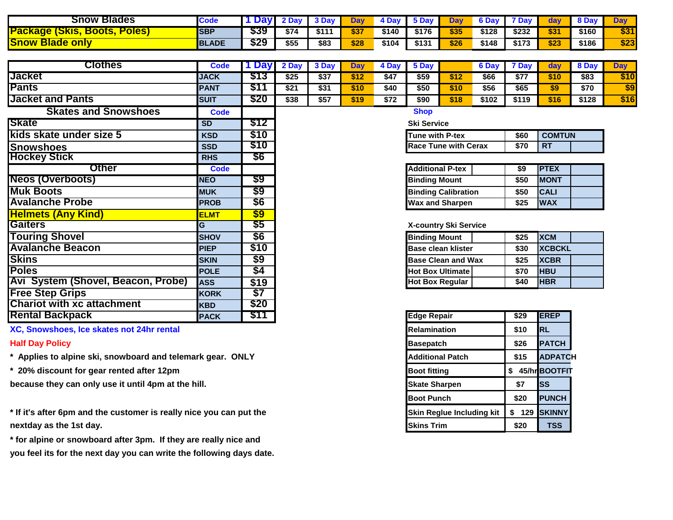| <b>Blades</b><br>Snow                                                                  | Code         |      | Dav  |       |      |       | <b>5 Dav</b> | Dav  | 6 Dav | <b>Dav</b> |      |       |      |
|----------------------------------------------------------------------------------------|--------------|------|------|-------|------|-------|--------------|------|-------|------------|------|-------|------|
| <b>Package</b><br><b>Poles</b><br><u>IJKIS.</u><br>$\blacksquare$ poots $\blacksquare$ | <b>SBP</b>   | \$39 | \$74 | \$111 | \$37 | \$140 | \$176        | \$35 | \$128 | \$232      | \$31 | \$160 | \$31 |
| <b>Snow Blade</b><br><b>onl</b>                                                        | <b>BLADE</b> | \$29 | \$55 | \$83  | \$28 | \$104 | \$131        | \$26 | \$148 | \$173      | 523  | \$186 | \$23 |

| <b>Clothes</b>                     | Code        | 1 Dav                    | 2 Day                                           | 3 Day                       | <b>Day</b> | 4 Day | 5 Day                     |                           | 6 Day | 7 Day      | day           | 8 Day | <b>Day</b> |  |
|------------------------------------|-------------|--------------------------|-------------------------------------------------|-----------------------------|------------|-------|---------------------------|---------------------------|-------|------------|---------------|-------|------------|--|
| <b>Jacket</b>                      | <b>JACK</b> | \$13                     | \$25                                            | \$37                        | \$12       | \$47  | \$59                      | \$12                      | \$66  | \$77       | \$10          | \$83  | \$10       |  |
| <b>Pants</b>                       | <b>PANT</b> | \$11                     | \$21                                            | \$31                        | \$10       | \$40  | \$50                      | \$10                      | \$56  | \$65       | \$9           | \$70  | \$9        |  |
| <b>Jacket and Pants</b>            | <b>SUIT</b> | \$20                     | \$38                                            | \$57                        | \$19       | \$72  | \$90                      | \$18                      | \$102 | \$119      | \$16          | \$128 | \$16       |  |
| <b>Skates and Snowshoes</b>        | <b>Code</b> |                          |                                                 |                             |            |       | <b>Shop</b>               |                           |       |            |               |       |            |  |
| <b>Skate</b>                       | <b>SD</b>   | \$12                     | <b>Ski Service</b>                              |                             |            |       |                           |                           |       |            |               |       |            |  |
| kids skate under size 5            | <b>KSD</b>  | \$10                     | <b>Tune with P-tex</b><br><b>COMTUN</b><br>\$60 |                             |            |       |                           |                           |       |            |               |       |            |  |
| <b>Snowshoes</b>                   | <b>SSD</b>  | \$10                     |                                                 | <b>Race Tune with Cerax</b> |            |       |                           |                           |       |            |               |       |            |  |
| <b>Hockey Stick</b>                | <b>RHS</b>  | \$6                      |                                                 |                             |            |       |                           |                           |       |            |               |       |            |  |
| <b>Other</b>                       | Code        |                          |                                                 |                             |            |       | <b>Additional P-tex</b>   |                           |       | \$9        | <b>PTEX</b>   |       |            |  |
| <b>Neos (Overboots)</b>            | <b>NEO</b>  | \$9                      |                                                 |                             |            |       | <b>Binding Mount</b>      |                           |       | \$50       | <b>MONT</b>   |       |            |  |
| <b>Muk Boots</b>                   | <b>MUK</b>  | \$9                      | <b>Binding Calibration</b>                      |                             |            |       |                           |                           |       | \$50       | <b>CALI</b>   |       |            |  |
| <b>Avalanche Probe</b>             | <b>PROB</b> | \$6                      | <b>Wax and Sharpen</b>                          |                             |            |       |                           |                           | \$25  | <b>WAX</b> |               |       |            |  |
| <b>Helmets (Any Kind)</b>          | <b>ELMT</b> | $\overline{\$9}$         |                                                 |                             |            |       |                           |                           |       |            |               |       |            |  |
| <b>Gaiters</b>                     | G           | $\overline{\textbf{55}}$ |                                                 |                             |            |       | X-country Ski Service     |                           |       |            |               |       |            |  |
| <b>Touring Shovel</b>              | <b>SHOV</b> | \$6                      |                                                 |                             |            |       | <b>Binding Mount</b>      |                           |       | \$25       | <b>XCM</b>    |       |            |  |
| <b>Avalanche Beacon</b>            | <b>PIEP</b> | \$10                     |                                                 |                             |            |       | <b>Base clean klister</b> |                           |       | \$30       | <b>XCBCKL</b> |       |            |  |
| <b>Skins</b>                       | <b>SKIN</b> | \$9                      |                                                 |                             |            |       |                           | <b>Base Clean and Wax</b> |       | \$25       | <b>XCBR</b>   |       |            |  |
| <b>Poles</b>                       | <b>POLE</b> | \$4                      |                                                 |                             |            |       |                           | <b>Hot Box Ultimate</b>   |       | \$70       | <b>HBU</b>    |       |            |  |
| Avi System (Shovel, Beacon, Probe) | <b>ASS</b>  | \$19                     |                                                 |                             |            |       | <b>Hot Box Regular</b>    |                           |       | \$40       | <b>HBR</b>    |       |            |  |
| <b>Free Step Grips</b>             | <b>KORK</b> | $\overline{$7}$          |                                                 |                             |            |       |                           |                           |       |            |               |       |            |  |
| <b>Chariot with xc attachment</b>  | <b>KBD</b>  | \$20                     |                                                 |                             |            |       |                           |                           |       |            |               |       |            |  |

- **\*** Applies to alpine ski, snowboard and telemark gear. ONLY **Additional Patch Additional Patch \$15 ADPATCH**
- 

**because they can only use it until 4pm at the hill. Skate Sharpen Skate Sharpen \$7 SS** 

\* If it's after 6pm and the customer is really nice you can put the **Skin Reglue Including kit** 1 \$ 129 **SKINNY nextday as the 1st day. Skins Trim** 520 **1 TSS** 

**\* for alpine or snowboard after 3pm. If they are really nice and you feel its for the next day you can write the following days date.**

**Rental Backpack PACK \$11 Edge Repair \$29 EREP XC, Snowshoes, Ice skates not 24hr rental Relation Relamination Relamination 810 RL Half Day Policy Basepatch 326 PATCH \* 20% discount for gear rented after 12pm <b>but a struck of the struck of the struck of the struck of the struck of the struck of the struck of the struck of the struck of the struck of the struck of the struck of the stru Boot Punch \$20 PUNCH**